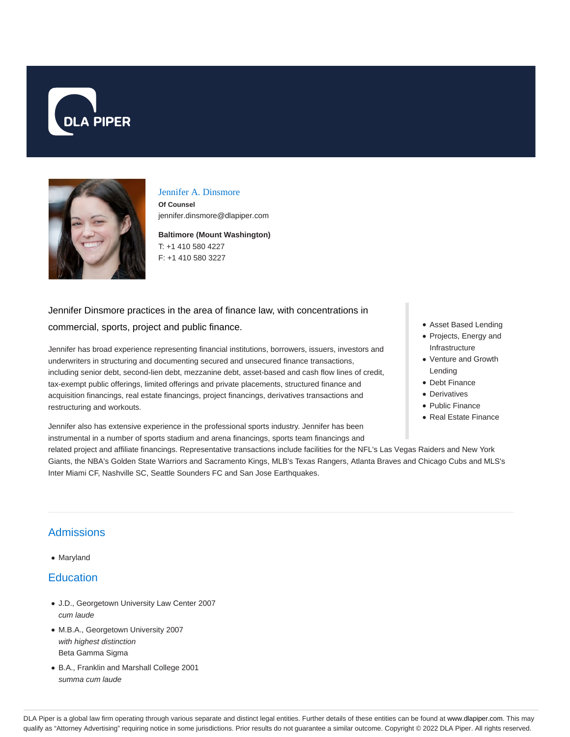



#### Jennifer A. Dinsmore

**Of Counsel** jennifer.dinsmore@dlapiper.com

**Baltimore (Mount Washington)** T: +1 410 580 4227 F: +1 410 580 3227

# Jennifer Dinsmore practices in the area of finance law, with concentrations in commercial, sports, project and public finance.

Jennifer has broad experience representing financial institutions, borrowers, issuers, investors and underwriters in structuring and documenting secured and unsecured finance transactions, including senior debt, second-lien debt, mezzanine debt, asset-based and cash flow lines of credit, tax-exempt public offerings, limited offerings and private placements, structured finance and acquisition financings, real estate financings, project financings, derivatives transactions and restructuring and workouts.

Jennifer also has extensive experience in the professional sports industry. Jennifer has been instrumental in a number of sports stadium and arena financings, sports team financings and

- Asset Based Lending
- Projects, Energy and Infrastructure
- Venture and Growth Lending
- Debt Finance
- Derivatives
- Public Finance
- Real Estate Finance

related project and affiliate financings. Representative transactions include facilities for the NFL's Las Vegas Raiders and New York Giants, the NBA's Golden State Warriors and Sacramento Kings, MLB's Texas Rangers, Atlanta Braves and Chicago Cubs and MLS's Inter Miami CF, Nashville SC, Seattle Sounders FC and San Jose Earthquakes.

### Admissions

• Maryland

#### **Education**

- J.D., Georgetown University Law Center 2007 cum laude
- M.B.A., Georgetown University 2007 with highest distinction Beta Gamma Sigma
- B.A., Franklin and Marshall College 2001 summa cum laude

DLA Piper is a global law firm operating through various separate and distinct legal entities. Further details of these entities can be found at www.dlapiper.com. This may qualify as "Attorney Advertising" requiring notice in some jurisdictions. Prior results do not guarantee a similar outcome. Copyright © 2022 DLA Piper. All rights reserved.